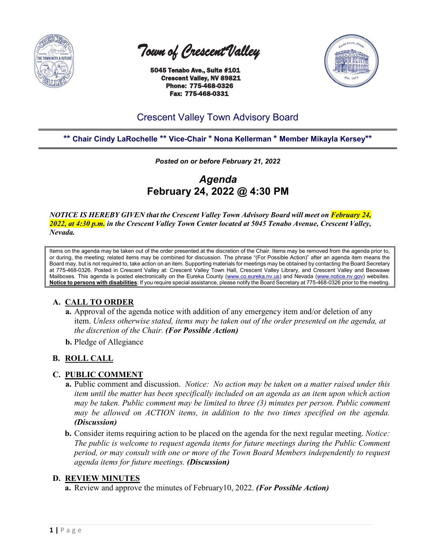

 *Town of Crescent Valley* 

 5045 Tenabo Ave., Suite #101 Crescent Valley, NV 89821 Phone: 775-468-0326 Fax: 775-468-0331



# Crescent Valley Town Advisory Board

# **\*\* Chair Cindy LaRochelle \*\* Vice-Chair \* Nona Kellerman \* Member Mikayla Kersey\*\***

*Posted on or before February 21, 2022*

*Agenda* **February 24, 2022 @ 4:30 PM**

*NOTICE IS HEREBY GIVEN that the Crescent Valley Town Advisory Board will meet on February 24, 2022, at 4:30 p.m. in the Crescent Valley Town Center located at 5045 Tenabo Avenue, Crescent Valley, Nevada.* 

Items on the agenda may be taken out of the order presented at the discretion of the Chair. Items may be removed from the agenda prior to, or during, the meeting; related items may be combined for discussion. The phrase "(For Possible Action)" after an agenda item means the Board may, but is not required to, take action on an item. Supporting materials for meetings may be obtained by contacting the Board Secretary at 775-468-0326. Posted in Crescent Valley at: Crescent Valley Town Hall, Crescent Valley Library, and Crescent Valley and Beowawe Mailboxes. This agenda is posted electronically on the Eureka County [\(www.co.eureka.nv.us\)](http://www.co.eureka.nv.us/) and Nevada [\(www.notice.nv.gov\)](http://www.notice.nv.gov/) websites. **Notice to persons with disabilities**: If you require special assistance, please notify the Board Secretary at 775-468-0326 prior to the meeting.

# **A. CALL TO ORDER**

- **a.** Approval of the agenda notice with addition of any emergency item and/or deletion of any item. *Unless otherwise stated, items may be taken out of the order presented on the agenda, at the discretion of the Chair. (For Possible Action)*
- **b.** Pledge of Allegiance

# **B. ROLL CALL**

# **C. PUBLIC COMMENT**

- **a.** Public comment and discussion. *Notice: No action may be taken on a matter raised under this item until the matter has been specifically included on an agenda as an item upon which action may be taken. Public comment may be limited to three (3) minutes per person. Public comment may be allowed on ACTION items, in addition to the two times specified on the agenda. (Discussion)*
- **b.** Consider items requiring action to be placed on the agenda for the next regular meeting. *Notice: The public is welcome to request agenda items for future meetings during the Public Comment period, or may consult with one or more of the Town Board Members independently to request agenda items for future meetings. (Discussion)*

# **D. REVIEW MINUTES**

**a.** Review and approve the minutes of February10, 2022. *(For Possible Action)*